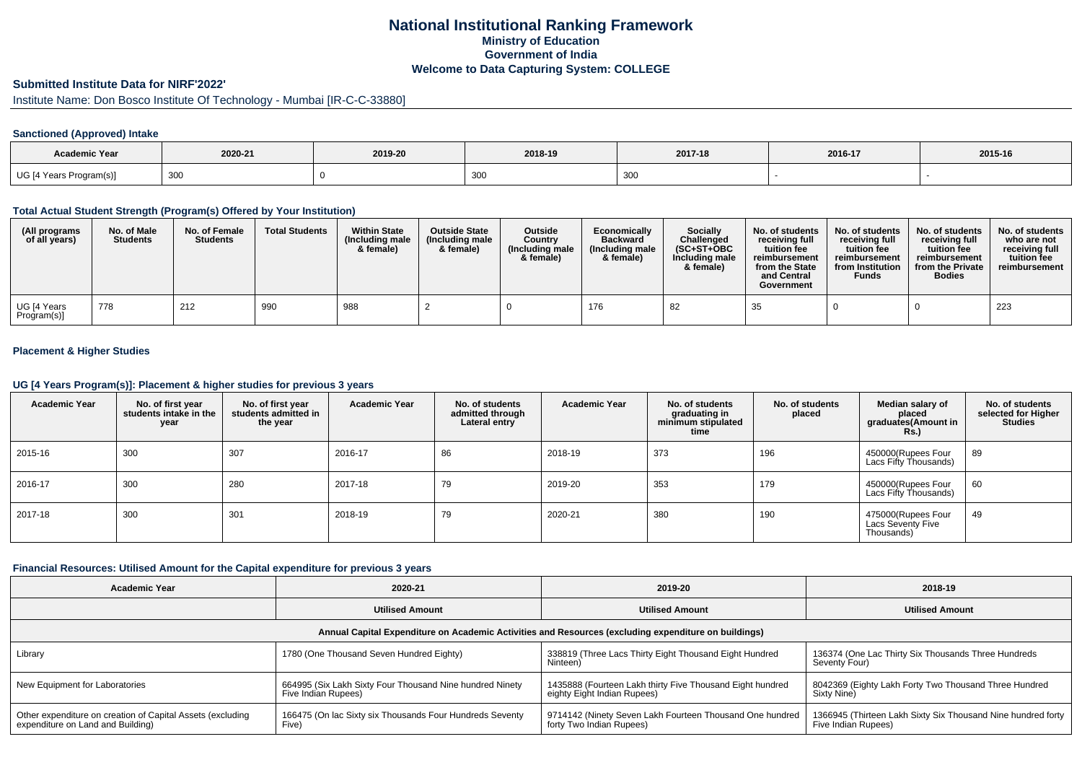## **National Institutional Ranking FrameworkMinistry of Education Government of IndiaWelcome to Data Capturing System: COLLEGE**

### **Submitted Institute Data for NIRF'2022'**

Institute Name: Don Bosco Institute Of Technology - Mumbai [IR-C-C-33880]

## **Sanctioned (Approved) Intake**

| <b>Academic Year</b>    | 2020-21 | 2019-20 | 2018-19 | 2017-18 | 2016-17 | 2015-16 |
|-------------------------|---------|---------|---------|---------|---------|---------|
| UG [4 Years Program(s)] | 300     |         | ึงงง    | 300     |         |         |

#### **Total Actual Student Strength (Program(s) Offered by Your Institution)**

| (All programs<br>of all years) | No. of Male<br><b>Students</b> | No. of Female<br><b>Students</b> | <b>Total Students</b> | <b>Within State</b><br>(Including male<br>& female) | <b>Outside State</b><br>(Including male<br>& female) | <b>Outside</b><br>Country<br>(Including male<br>& female) | Economically<br><b>Backward</b><br>(Including male<br>& female) | <b>Socially</b><br>Challenged<br>$(SC+ST+OBC$<br>Including male<br>& female) | No. of students<br>receivina full<br>tuition fee<br>reimbursement<br>from the State<br>and Central<br>Government | No. of students<br>receiving full<br>tuition fee<br>reimbursement<br>from Institution<br><b>Funds</b> | No. of students<br>receiving full<br>tuition fee<br>reimbursement<br>from the Private<br><b>Bodies</b> | No. of students<br>who are not<br>receiving full<br>tuition fee<br>reimbursement |
|--------------------------------|--------------------------------|----------------------------------|-----------------------|-----------------------------------------------------|------------------------------------------------------|-----------------------------------------------------------|-----------------------------------------------------------------|------------------------------------------------------------------------------|------------------------------------------------------------------------------------------------------------------|-------------------------------------------------------------------------------------------------------|--------------------------------------------------------------------------------------------------------|----------------------------------------------------------------------------------|
| UG [4 Years<br>Program(s)]     | 778                            | 212                              | 990                   | 988                                                 |                                                      |                                                           | 176                                                             | -82                                                                          | 35                                                                                                               |                                                                                                       |                                                                                                        | 223                                                                              |

## **Placement & Higher Studies**

#### **UG [4 Years Program(s)]: Placement & higher studies for previous 3 years**

| <b>Academic Year</b> | No. of first year<br>students intake in the<br>year | No. of first year<br>students admitted in<br>the year | <b>Academic Year</b> | No. of students<br>admitted through<br>Lateral entry | Academic Year | No. of students<br>graduating in<br>minimum stipulated<br>time | No. of students<br>placed | Median salary of<br>placed<br>graduates(Amount in<br><b>Rs.)</b> | No. of students<br>selected for Higher<br><b>Studies</b> |
|----------------------|-----------------------------------------------------|-------------------------------------------------------|----------------------|------------------------------------------------------|---------------|----------------------------------------------------------------|---------------------------|------------------------------------------------------------------|----------------------------------------------------------|
| 2015-16              | 300                                                 | 307                                                   | 2016-17              | 86                                                   | 2018-19       | 373                                                            | 196                       | 450000(Rupees Four<br>Lacs Fifty Thousands)                      | 89                                                       |
| 2016-17              | 300                                                 | 280                                                   | 2017-18              | 79                                                   | 2019-20       | 353                                                            | 179                       | 450000(Rupees Four<br>Lacs Fifty Thousands)                      | 60                                                       |
| 2017-18              | 300                                                 | 301                                                   | 2018-19              | 79                                                   | 2020-21       | 380                                                            | 190                       | 475000(Rupees Four<br>Lacs Seventy Five<br>Thousands)            | 49                                                       |

### **Financial Resources: Utilised Amount for the Capital expenditure for previous 3 years**

| <b>Academic Year</b>                                                                                 | 2020-21                                                                         | 2019-20                                                                                  | 2018-19                                                                             |  |  |  |  |  |  |
|------------------------------------------------------------------------------------------------------|---------------------------------------------------------------------------------|------------------------------------------------------------------------------------------|-------------------------------------------------------------------------------------|--|--|--|--|--|--|
|                                                                                                      | <b>Utilised Amount</b>                                                          |                                                                                          | <b>Utilised Amount</b>                                                              |  |  |  |  |  |  |
| Annual Capital Expenditure on Academic Activities and Resources (excluding expenditure on buildings) |                                                                                 |                                                                                          |                                                                                     |  |  |  |  |  |  |
| Library                                                                                              | 1780 (One Thousand Seven Hundred Eighty)                                        | 338819 (Three Lacs Thirty Eight Thousand Eight Hundred<br>Ninteen)                       | 136374 (One Lac Thirty Six Thousands Three Hundreds<br>Seventy Four)                |  |  |  |  |  |  |
| New Equipment for Laboratories                                                                       | 664995 (Six Lakh Sixty Four Thousand Nine hundred Ninety<br>Five Indian Rupees) | 1435888 (Fourteen Lakh thirty Five Thousand Eight hundred<br>eighty Eight Indian Rupees) | 8042369 (Eighty Lakh Forty Two Thousand Three Hundred<br>Sixty Nine)                |  |  |  |  |  |  |
| Other expenditure on creation of Capital Assets (excluding<br>expenditure on Land and Building)      | 166475 (On lac Sixty six Thousands Four Hundreds Seventy<br>Five)               | 9714142 (Ninety Seven Lakh Fourteen Thousand One hundred<br>forty Two Indian Rupees)     | 1366945 (Thirteen Lakh Sixty Six Thousand Nine hundred forty<br>Five Indian Rupees) |  |  |  |  |  |  |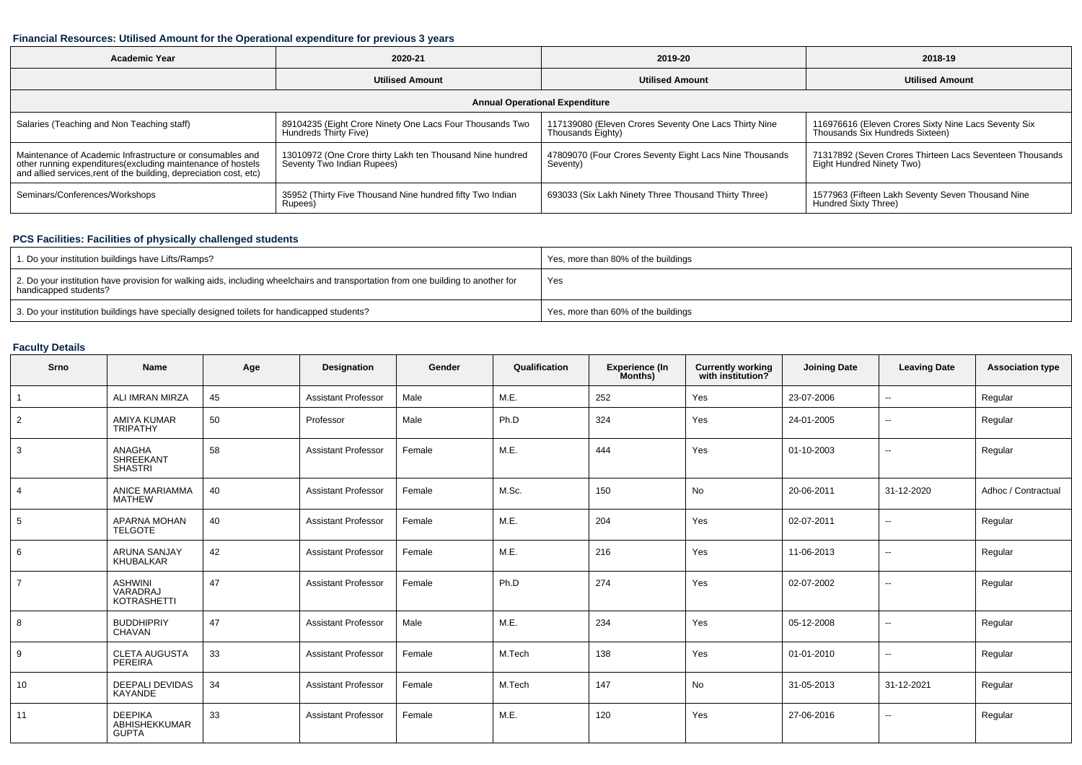## **Financial Resources: Utilised Amount for the Operational expenditure for previous 3 years**

| <b>Academic Year</b>                                                                                                                                                                           | 2020-21                                                                                 | 2019-20                                                                    | 2018-19                                                                                 |  |  |  |  |  |  |
|------------------------------------------------------------------------------------------------------------------------------------------------------------------------------------------------|-----------------------------------------------------------------------------------------|----------------------------------------------------------------------------|-----------------------------------------------------------------------------------------|--|--|--|--|--|--|
|                                                                                                                                                                                                | <b>Utilised Amount</b>                                                                  | <b>Utilised Amount</b>                                                     | <b>Utilised Amount</b>                                                                  |  |  |  |  |  |  |
| <b>Annual Operational Expenditure</b>                                                                                                                                                          |                                                                                         |                                                                            |                                                                                         |  |  |  |  |  |  |
| Salaries (Teaching and Non Teaching staff)                                                                                                                                                     | 89104235 (Eight Crore Ninety One Lacs Four Thousands Two<br>Hundreds Thirty Five)       | 117139080 (Eleven Crores Seventy One Lacs Thirty Nine<br>Thousands Eighty) | 116976616 (Eleven Crores Sixty Nine Lacs Seventy Six<br>Thousands Six Hundreds Sixteen) |  |  |  |  |  |  |
| Maintenance of Academic Infrastructure or consumables and<br>other running expenditures(excluding maintenance of hostels<br>and allied services, rent of the building, depreciation cost, etc) | 13010972 (One Crore thirty Lakh ten Thousand Nine hundred<br>Seventy Two Indian Rupees) | 47809070 (Four Crores Seventy Eight Lacs Nine Thousands<br>Seventy)        | 71317892 (Seven Crores Thirteen Lacs Seventeen Thousands<br>Eight Hundred Ninety Two)   |  |  |  |  |  |  |
| Seminars/Conferences/Workshops                                                                                                                                                                 | 35952 (Thirty Five Thousand Nine hundred fifty Two Indian<br>Rupees)                    | 693033 (Six Lakh Ninety Three Thousand Thirty Three)                       | 1577963 (Fifteen Lakh Seventy Seven Thousand Nine<br>Hundred Sixty Three)               |  |  |  |  |  |  |

# **PCS Facilities: Facilities of physically challenged students**

| 1. Do your institution buildings have Lifts/Ramps?                                                                                                         | Yes, more than 80% of the buildings |
|------------------------------------------------------------------------------------------------------------------------------------------------------------|-------------------------------------|
| 2. Do your institution have provision for walking aids, including wheelchairs and transportation from one building to another for<br>handicapped students? | Yes                                 |
| 3. Do your institution buildings have specially designed toilets for handicapped students?                                                                 | Yes, more than 60% of the buildings |

## **Faculty Details**

| Srno           | Name                                            | Age | <b>Designation</b>         | Gender | Qualification | <b>Experience (In</b><br>Months) | <b>Currently working</b><br>with institution? | <b>Joining Date</b> | <b>Leaving Date</b>      | <b>Association type</b> |
|----------------|-------------------------------------------------|-----|----------------------------|--------|---------------|----------------------------------|-----------------------------------------------|---------------------|--------------------------|-------------------------|
|                | ALI IMRAN MIRZA                                 | 45  | <b>Assistant Professor</b> | Male   | M.E.          | 252                              | Yes                                           | 23-07-2006          | $\overline{a}$           | Regular                 |
| $\overline{2}$ | <b>AMIYA KUMAR</b><br><b>TRIPATHY</b>           | 50  | Professor                  | Male   | Ph.D          | 324                              | Yes                                           | 24-01-2005          | $\overline{\phantom{a}}$ | Regular                 |
| 3              | ANAGHA<br><b>SHREEKANT</b><br><b>SHASTRI</b>    | 58  | <b>Assistant Professor</b> | Female | M.E.          | 444                              | Yes                                           | 01-10-2003          | Ξ.                       | Regular                 |
|                | <b>ANICE MARIAMMA</b><br><b>MATHEW</b>          | 40  | <b>Assistant Professor</b> | Female | M.Sc.         | 150                              | No                                            | 20-06-2011          | 31-12-2020               | Adhoc / Contractual     |
| 5              | APARNA MOHAN<br><b>TELGOTE</b>                  | 40  | <b>Assistant Professor</b> | Female | M.E.          | 204                              | Yes                                           | 02-07-2011          | $\overline{\phantom{a}}$ | Regular                 |
| 6              | <b>ARUNA SANJAY</b><br>KHUBALKAR                | 42  | <b>Assistant Professor</b> | Female | M.E.          | 216                              | Yes                                           | 11-06-2013          | $\sim$                   | Regular                 |
| $\overline{7}$ | <b>ASHWINI</b><br>VARADRAJ<br>KOTRASHETTI       | 47  | <b>Assistant Professor</b> | Female | Ph.D          | 274                              | Yes                                           | 02-07-2002          | Ξ.                       | Regular                 |
| 8              | <b>BUDDHIPRIY</b><br>CHAVAN                     | 47  | <b>Assistant Professor</b> | Male   | M.E.          | 234                              | Yes                                           | 05-12-2008          | --                       | Regular                 |
| 9              | <b>CLETA AUGUSTA</b><br>PEREIRA                 | 33  | <b>Assistant Professor</b> | Female | M.Tech        | 138                              | Yes                                           | 01-01-2010          | Ξ.                       | Regular                 |
| 10             | <b>DEEPALI DEVIDAS</b><br>KAYANDE               | 34  | <b>Assistant Professor</b> | Female | M.Tech        | 147                              | No                                            | 31-05-2013          | 31-12-2021               | Regular                 |
| 11             | <b>DEEPIKA</b><br>ABHISHEKKUMAR<br><b>GUPTA</b> | 33  | <b>Assistant Professor</b> | Female | M.E.          | 120                              | Yes                                           | 27-06-2016          | $\overline{\phantom{a}}$ | Regular                 |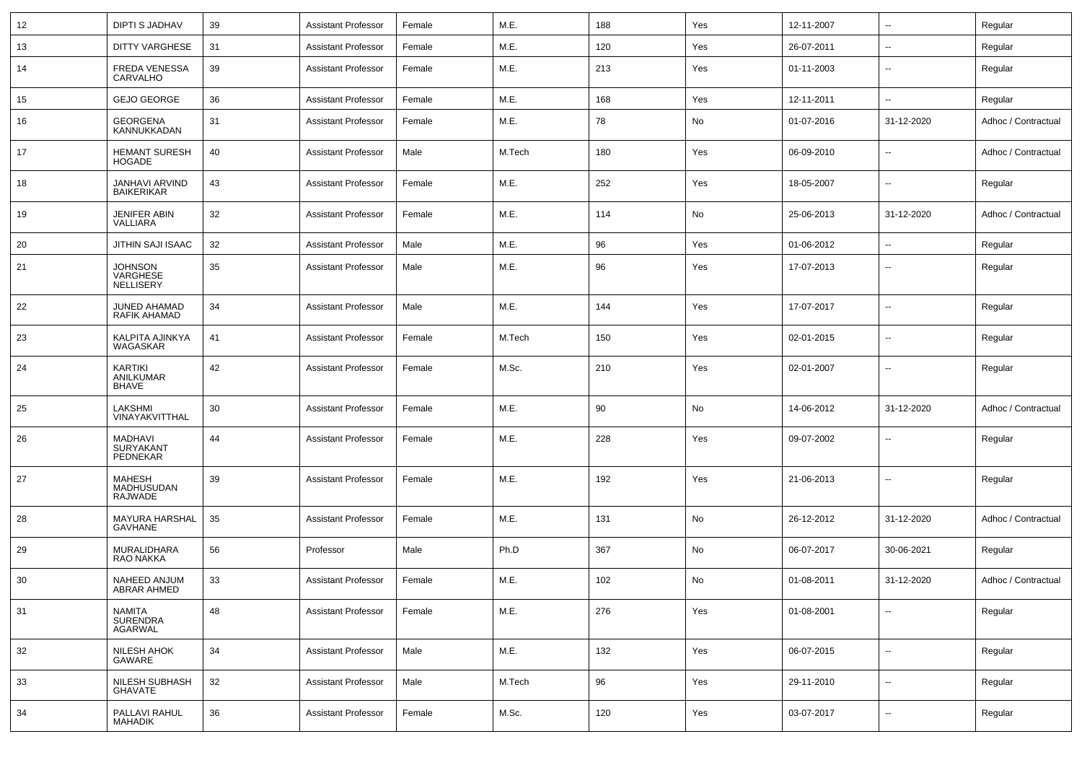| 12 | <b>DIPTI S JADHAV</b>                       | 39 | <b>Assistant Professor</b> | Female | M.E.   | 188 | Yes | 12-11-2007 | $\overline{\phantom{a}}$ | Regular             |
|----|---------------------------------------------|----|----------------------------|--------|--------|-----|-----|------------|--------------------------|---------------------|
| 13 | DITTY VARGHESE                              | 31 | <b>Assistant Professor</b> | Female | M.E.   | 120 | Yes | 26-07-2011 | $\overline{\phantom{a}}$ | Regular             |
| 14 | <b>FREDA VENESSA</b><br>CARVALHO            | 39 | <b>Assistant Professor</b> | Female | M.E.   | 213 | Yes | 01-11-2003 | ۰.                       | Regular             |
| 15 | <b>GEJO GEORGE</b>                          | 36 | <b>Assistant Professor</b> | Female | M.E.   | 168 | Yes | 12-11-2011 | --                       | Regular             |
| 16 | <b>GEORGENA</b><br>KANNUKKADAN              | 31 | <b>Assistant Professor</b> | Female | M.E.   | 78  | No  | 01-07-2016 | 31-12-2020               | Adhoc / Contractual |
| 17 | <b>HEMANT SURESH</b><br><b>HOGADE</b>       | 40 | <b>Assistant Professor</b> | Male   | M.Tech | 180 | Yes | 06-09-2010 |                          | Adhoc / Contractual |
| 18 | JANHAVI ARVIND<br><b>BAIKERIKAR</b>         | 43 | <b>Assistant Professor</b> | Female | M.E.   | 252 | Yes | 18-05-2007 | $\overline{\phantom{a}}$ | Regular             |
| 19 | <b>JENIFER ABIN</b><br>VALLIARA             | 32 | <b>Assistant Professor</b> | Female | M.E.   | 114 | No  | 25-06-2013 | 31-12-2020               | Adhoc / Contractual |
| 20 | JITHIN SAJI ISAAC                           | 32 | <b>Assistant Professor</b> | Male   | M.E.   | 96  | Yes | 01-06-2012 | ۰.                       | Regular             |
| 21 | <b>JOHNSON</b><br>VARGHESE<br>NELLISERY     | 35 | <b>Assistant Professor</b> | Male   | M.E.   | 96  | Yes | 17-07-2013 | ۰.                       | Regular             |
| 22 | JUNED AHAMAD<br>RAFIK AHAMAD                | 34 | <b>Assistant Professor</b> | Male   | M.E.   | 144 | Yes | 17-07-2017 | ۰.                       | Regular             |
| 23 | KALPITA AJINKYA<br>WAGASKAR                 | 41 | <b>Assistant Professor</b> | Female | M.Tech | 150 | Yes | 02-01-2015 | ۰.                       | Regular             |
| 24 | <b>KARTIKI</b><br>ANILKUMAR<br><b>BHAVE</b> | 42 | <b>Assistant Professor</b> | Female | M.Sc.  | 210 | Yes | 02-01-2007 | ۰.                       | Regular             |
| 25 | LAKSHMI<br>VINAYAKVITTHAL                   | 30 | <b>Assistant Professor</b> | Female | M.E.   | 90  | No  | 14-06-2012 | 31-12-2020               | Adhoc / Contractual |
| 26 | MADHAVI<br>SURYAKANT<br>PEDNEKAR            | 44 | <b>Assistant Professor</b> | Female | M.E.   | 228 | Yes | 09-07-2002 | ۰.                       | Regular             |
| 27 | <b>MAHESH</b><br>MADHUSUDAN<br>RAJWADE      | 39 | <b>Assistant Professor</b> | Female | M.E.   | 192 | Yes | 21-06-2013 | $\sim$                   | Regular             |
| 28 | MAYURA HARSHAL<br><b>GAVHANE</b>            | 35 | <b>Assistant Professor</b> | Female | M.E.   | 131 | No  | 26-12-2012 | 31-12-2020               | Adhoc / Contractual |
| 29 | MURALIDHARA<br>RAO NAKKA                    | 56 | Professor                  | Male   | Ph.D   | 367 | No  | 06-07-2017 | 30-06-2021               | Regular             |
| 30 | NAHEED ANJUM<br>ABRAR AHMED                 | 33 | <b>Assistant Professor</b> | Female | M.E.   | 102 | No  | 01-08-2011 | 31-12-2020               | Adhoc / Contractual |
| 31 | NAMITA<br>SURENDRA<br>AGARWAL               | 48 | <b>Assistant Professor</b> | Female | M.E.   | 276 | Yes | 01-08-2001 | $\overline{\phantom{a}}$ | Regular             |
| 32 | <b>NILESH AHOK</b><br>GAWARE                | 34 | <b>Assistant Professor</b> | Male   | M.E.   | 132 | Yes | 06-07-2015 | $\sim$                   | Regular             |
| 33 | NILESH SUBHASH<br><b>GHAVATE</b>            | 32 | <b>Assistant Professor</b> | Male   | M.Tech | 96  | Yes | 29-11-2010 | $\overline{\phantom{a}}$ | Regular             |
| 34 | PALLAVI RAHUL<br><b>MAHADIK</b>             | 36 | <b>Assistant Professor</b> | Female | M.Sc.  | 120 | Yes | 03-07-2017 | $\overline{\phantom{a}}$ | Regular             |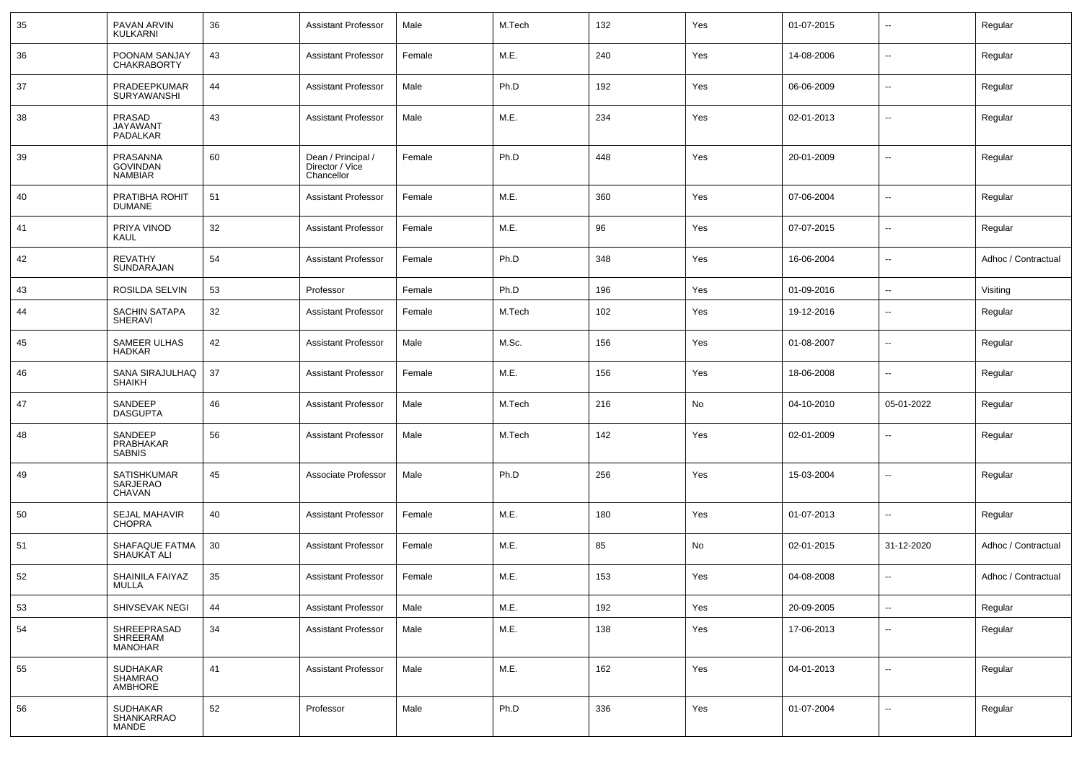| 35 | PAVAN ARVIN<br><b>KULKARNI</b>                   | 36 | <b>Assistant Professor</b>                          | Male   | M.Tech | 132 | Yes | 01-07-2015 | $\sim$                   | Regular             |
|----|--------------------------------------------------|----|-----------------------------------------------------|--------|--------|-----|-----|------------|--------------------------|---------------------|
| 36 | POONAM SANJAY<br><b>CHAKRABORTY</b>              | 43 | <b>Assistant Professor</b>                          | Female | M.E.   | 240 | Yes | 14-08-2006 | $\sim$                   | Regular             |
| 37 | PRADEEPKUMAR<br><b>SURYAWANSHI</b>               | 44 | <b>Assistant Professor</b>                          | Male   | Ph.D   | 192 | Yes | 06-06-2009 | $\sim$                   | Regular             |
| 38 | PRASAD<br><b>JAYAWANT</b><br>PADALKAR            | 43 | <b>Assistant Professor</b>                          | Male   | M.E.   | 234 | Yes | 02-01-2013 | $\overline{\phantom{a}}$ | Regular             |
| 39 | PRASANNA<br><b>GOVINDAN</b><br><b>NAMBIAR</b>    | 60 | Dean / Principal /<br>Director / Vice<br>Chancellor | Female | Ph.D   | 448 | Yes | 20-01-2009 | $\sim$                   | Regular             |
| 40 | PRATIBHA ROHIT<br><b>DUMANE</b>                  | 51 | <b>Assistant Professor</b>                          | Female | M.E.   | 360 | Yes | 07-06-2004 | --                       | Regular             |
| 41 | PRIYA VINOD<br>KAUL                              | 32 | <b>Assistant Professor</b>                          | Female | M.E.   | 96  | Yes | 07-07-2015 | --                       | Regular             |
| 42 | <b>REVATHY</b><br>SUNDARAJAN                     | 54 | <b>Assistant Professor</b>                          | Female | Ph.D   | 348 | Yes | 16-06-2004 | --                       | Adhoc / Contractual |
| 43 | ROSILDA SELVIN                                   | 53 | Professor                                           | Female | Ph.D   | 196 | Yes | 01-09-2016 | $\overline{\phantom{a}}$ | Visiting            |
| 44 | SACHIN SATAPA<br><b>SHERAVI</b>                  | 32 | <b>Assistant Professor</b>                          | Female | M.Tech | 102 | Yes | 19-12-2016 | $\overline{\phantom{a}}$ | Regular             |
| 45 | SAMEER ULHAS<br><b>HADKAR</b>                    | 42 | <b>Assistant Professor</b>                          | Male   | M.Sc.  | 156 | Yes | 01-08-2007 | $\overline{\phantom{a}}$ | Regular             |
| 46 | SANA SIRAJULHAQ<br><b>SHAIKH</b>                 | 37 | <b>Assistant Professor</b>                          | Female | M.E.   | 156 | Yes | 18-06-2008 | $\overline{\phantom{a}}$ | Regular             |
| 47 | SANDEEP<br><b>DASGUPTA</b>                       | 46 | <b>Assistant Professor</b>                          | Male   | M.Tech | 216 | No  | 04-10-2010 | 05-01-2022               | Regular             |
| 48 | SANDEEP<br>PRABHAKAR<br><b>SABNIS</b>            | 56 | <b>Assistant Professor</b>                          | Male   | M.Tech | 142 | Yes | 02-01-2009 | $\sim$                   | Regular             |
| 49 | SATISHKUMAR<br>SARJERAO<br><b>CHAVAN</b>         | 45 | Associate Professor                                 | Male   | Ph.D   | 256 | Yes | 15-03-2004 | --                       | Regular             |
| 50 | <b>SEJAL MAHAVIR</b><br><b>CHOPRA</b>            | 40 | <b>Assistant Professor</b>                          | Female | M.E.   | 180 | Yes | 01-07-2013 | $\overline{\phantom{a}}$ | Regular             |
| 51 | SHAFAQUE FATMA<br>SHAUKAT ALI                    | 30 | <b>Assistant Professor</b>                          | Female | M.E.   | 85  | No  | 02-01-2015 | 31-12-2020               | Adhoc / Contractual |
| 52 | SHAINILA FAIYAZ<br>MULLA                         | 35 | <b>Assistant Professor</b>                          | Female | M.E.   | 153 | Yes | 04-08-2008 | --                       | Adhoc / Contractual |
| 53 | SHIVSEVAK NEGI                                   | 44 | <b>Assistant Professor</b>                          | Male   | M.E.   | 192 | Yes | 20-09-2005 | $\overline{\phantom{a}}$ | Regular             |
| 54 | SHREEPRASAD<br><b>SHREERAM</b><br><b>MANOHAR</b> | 34 | <b>Assistant Professor</b>                          | Male   | M.E.   | 138 | Yes | 17-06-2013 | --                       | Regular             |
| 55 | <b>SUDHAKAR</b><br><b>SHAMRAO</b><br>AMBHORE     | 41 | <b>Assistant Professor</b>                          | Male   | M.E.   | 162 | Yes | 04-01-2013 | $\overline{\phantom{a}}$ | Regular             |
| 56 | SUDHAKAR<br>SHANKARRAO<br>MANDE                  | 52 | Professor                                           | Male   | Ph.D   | 336 | Yes | 01-07-2004 | $\sim$                   | Regular             |